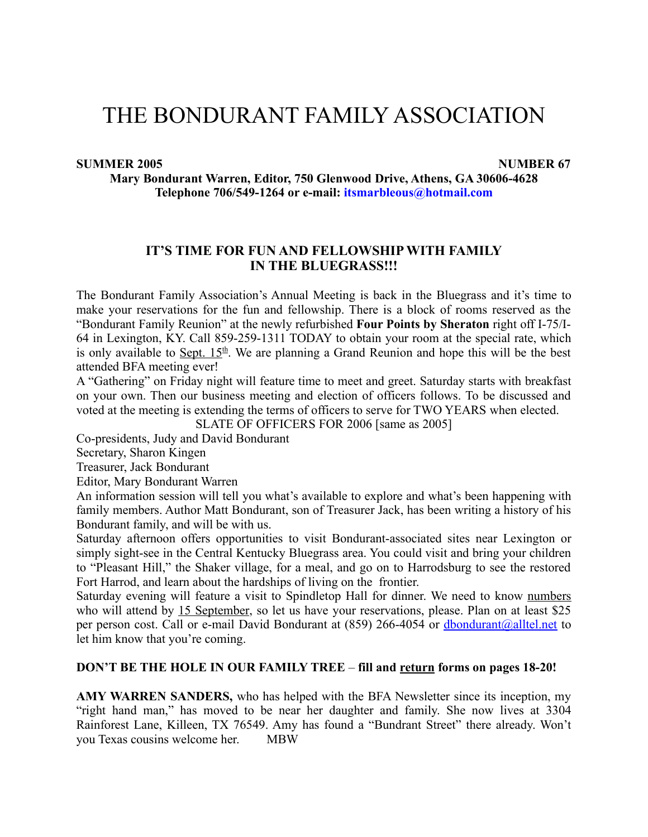# THE BONDURANT FAMILY ASSOCIATION

#### **SUMMER 2005 NUMBER 67**

**Mary Bondurant Warren, Editor, 750 Glenwood Drive, Athens, GA 30606-4628 Telephone 706/549-1264 or e-mail: itsmarbleous@hotmail.com**

### **IT'S TIME FOR FUN AND FELLOWSHIPWITH FAMILY IN THE BLUEGRASS!!!**

The Bondurant Family Association's Annual Meeting is back in the Bluegrass and it's time to make your reservations for the fun and fellowship. There is a block of rooms reserved as the "Bondurant Family Reunion" at the newly refurbished **Four Points by Sheraton** right off I-75/I-64 in Lexington, KY. Call 859-259-1311 TODAY to obtain your room at the special rate, which is only available to  $Sept. 15<sup>th</sup>$ . We are planning a Grand Reunion and hope this will be the best</u> attended BFA meeting ever!

A "Gathering" on Friday night will feature time to meet and greet. Saturday starts with breakfast on your own. Then our business meeting and election of officers follows. To be discussed and voted at the meeting is extending the terms of officers to serve for TWO YEARS when elected.

SLATE OF OFFICERS FOR 2006 [same as 2005]

Co-presidents, Judy and David Bondurant

Secretary, Sharon Kingen

Treasurer, Jack Bondurant

Editor, Mary Bondurant Warren

An information session will tell you what's available to explore and what's been happening with family members. Author Matt Bondurant, son of Treasurer Jack, has been writing a history of his Bondurant family, and will be with us.

Saturday afternoon offers opportunities to visit Bondurant-associated sites near Lexington or simply sight-see in the Central Kentucky Bluegrass area. You could visit and bring your children to "Pleasant Hill," the Shaker village, for a meal, and go on to Harrodsburg to see the restored Fort Harrod, and learn about the hardships of living on the frontier.

Saturday evening will feature a visit to Spindletop Hall for dinner. We need to know numbers who will attend by 15 September, so let us have your reservations, please. Plan on at least \$25 per person cost. Call or e-mail David Bondurant at (859) 266-4054 or dbondurant@alltel.net to let him know that you're coming.

#### **DON'T BE THE HOLE IN OUR FAMILY TREE** – **fill and return forms on pages 18-20!**

**AMY WARREN SANDERS,** who has helped with the BFA Newsletter since its inception, my "right hand man," has moved to be near her daughter and family. She now lives at 3304 Rainforest Lane, Killeen, TX 76549. Amy has found a "Bundrant Street" there already. Won't you Texas cousins welcome her. MBW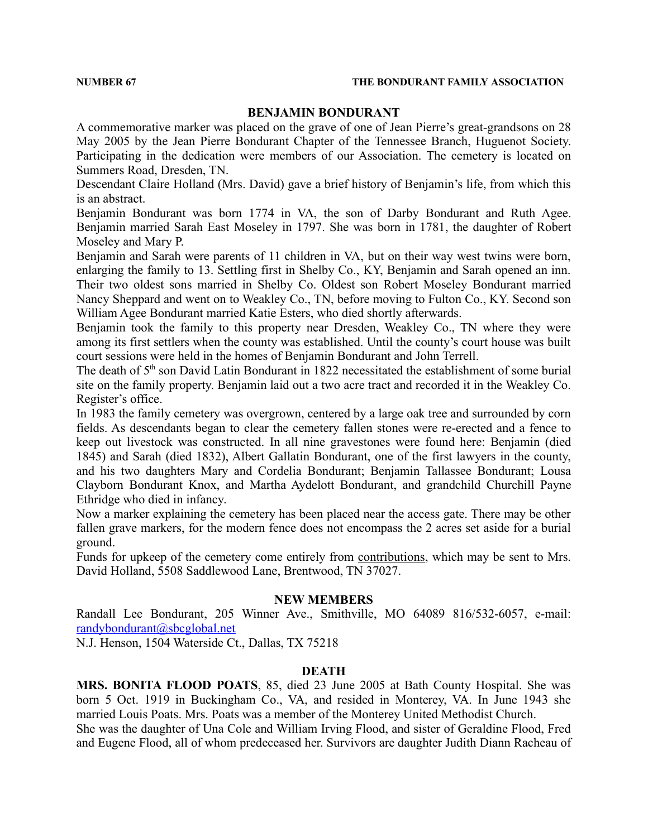#### **BENJAMIN BONDURANT**

A commemorative marker was placed on the grave of one of Jean Pierre's great-grandsons on 28 May 2005 by the Jean Pierre Bondurant Chapter of the Tennessee Branch, Huguenot Society. Participating in the dedication were members of our Association. The cemetery is located on Summers Road, Dresden, TN.

Descendant Claire Holland (Mrs. David) gave a brief history of Benjamin's life, from which this is an abstract.

Benjamin Bondurant was born 1774 in VA, the son of Darby Bondurant and Ruth Agee. Benjamin married Sarah East Moseley in 1797. She was born in 1781, the daughter of Robert Moseley and Mary P.

Benjamin and Sarah were parents of 11 children in VA, but on their way west twins were born, enlarging the family to 13. Settling first in Shelby Co., KY, Benjamin and Sarah opened an inn. Their two oldest sons married in Shelby Co. Oldest son Robert Moseley Bondurant married Nancy Sheppard and went on to Weakley Co., TN, before moving to Fulton Co., KY. Second son William Agee Bondurant married Katie Esters, who died shortly afterwards.

Benjamin took the family to this property near Dresden, Weakley Co., TN where they were among its first settlers when the county was established. Until the county's court house was built court sessions were held in the homes of Benjamin Bondurant and John Terrell.

The death of 5<sup>th</sup> son David Latin Bondurant in 1822 necessitated the establishment of some burial site on the family property. Benjamin laid out a two acre tract and recorded it in the Weakley Co. Register's office.

In 1983 the family cemetery was overgrown, centered by a large oak tree and surrounded by corn fields. As descendants began to clear the cemetery fallen stones were re-erected and a fence to keep out livestock was constructed. In all nine gravestones were found here: Benjamin (died 1845) and Sarah (died 1832), Albert Gallatin Bondurant, one of the first lawyers in the county, and his two daughters Mary and Cordelia Bondurant; Benjamin Tallassee Bondurant; Lousa Clayborn Bondurant Knox, and Martha Aydelott Bondurant, and grandchild Churchill Payne Ethridge who died in infancy.

Now a marker explaining the cemetery has been placed near the access gate. There may be other fallen grave markers, for the modern fence does not encompass the 2 acres set aside for a burial ground.

Funds for upkeep of the cemetery come entirely from contributions, which may be sent to Mrs. David Holland, 5508 Saddlewood Lane, Brentwood, TN 37027.

#### **NEW MEMBERS**

Randall Lee Bondurant, 205 Winner Ave., Smithville, MO 64089 816/532-6057, e-mail: randybondurant@sbcglobal.net

N.J. Henson, 1504 Waterside Ct., Dallas, TX 75218

### **DEATH**

**MRS. BONITA FLOOD POATS**, 85, died 23 June 2005 at Bath County Hospital. She was born 5 Oct. 1919 in Buckingham Co., VA, and resided in Monterey, VA. In June 1943 she married Louis Poats. Mrs. Poats was a member of the Monterey United Methodist Church.

She was the daughter of Una Cole and William Irving Flood, and sister of Geraldine Flood, Fred and Eugene Flood, all of whom predeceased her. Survivors are daughter Judith Diann Racheau of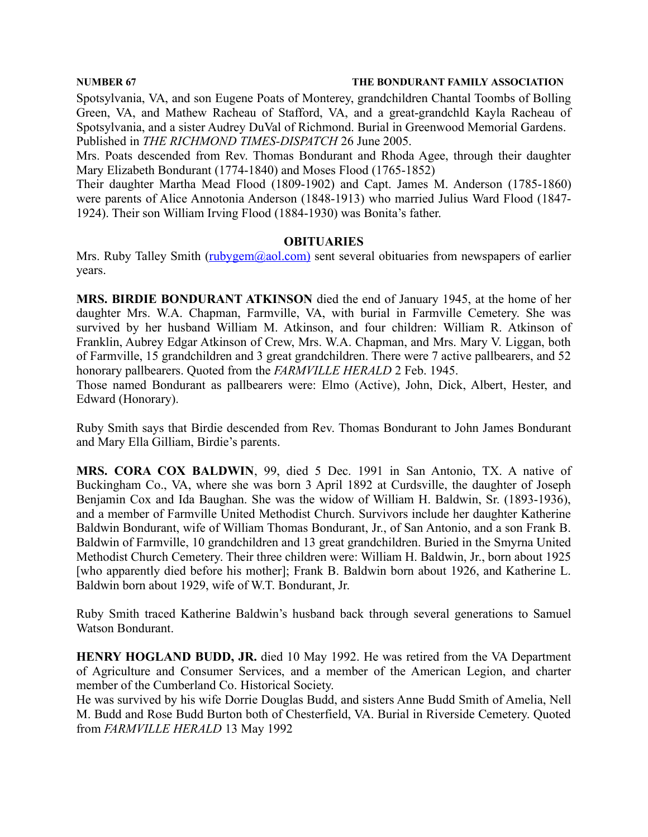Spotsylvania, VA, and son Eugene Poats of Monterey, grandchildren Chantal Toombs of Bolling Green, VA, and Mathew Racheau of Stafford, VA, and a great-grandchld Kayla Racheau of Spotsylvania, and a sister Audrey DuVal of Richmond. Burial in Greenwood Memorial Gardens. Published in *THE RICHMOND TIMES-DISPATCH* 26 June 2005.

Mrs. Poats descended from Rev. Thomas Bondurant and Rhoda Agee, through their daughter Mary Elizabeth Bondurant (1774-1840) and Moses Flood (1765-1852)

Their daughter Martha Mead Flood (1809-1902) and Capt. James M. Anderson (1785-1860) were parents of Alice Annotonia Anderson (1848-1913) who married Julius Ward Flood (1847- 1924). Their son William Irving Flood (1884-1930) was Bonita's father.

### **OBITUARIES**

Mrs. Ruby Talley Smith  $(\frac{ruby\,em(\partial_{a}ol.com)}{rem(\partial_{a}ol.com)}$  sent several obituaries from newspapers of earlier years.

**MRS. BIRDIE BONDURANT ATKINSON** died the end of January 1945, at the home of her daughter Mrs. W.A. Chapman, Farmville, VA, with burial in Farmville Cemetery. She was survived by her husband William M. Atkinson, and four children: William R. Atkinson of Franklin, Aubrey Edgar Atkinson of Crew, Mrs. W.A. Chapman, and Mrs. Mary V. Liggan, both of Farmville, 15 grandchildren and 3 great grandchildren. There were 7 active pallbearers, and 52 honorary pallbearers. Quoted from the *FARMVILLE HERALD* 2 Feb. 1945.

Those named Bondurant as pallbearers were: Elmo (Active), John, Dick, Albert, Hester, and Edward (Honorary).

Ruby Smith says that Birdie descended from Rev. Thomas Bondurant to John James Bondurant and Mary Ella Gilliam, Birdie's parents.

**MRS. CORA COX BALDWIN**, 99, died 5 Dec. 1991 in San Antonio, TX. A native of Buckingham Co., VA, where she was born 3 April 1892 at Curdsville, the daughter of Joseph Benjamin Cox and Ida Baughan. She was the widow of William H. Baldwin, Sr. (1893-1936), and a member of Farmville United Methodist Church. Survivors include her daughter Katherine Baldwin Bondurant, wife of William Thomas Bondurant, Jr., of San Antonio, and a son Frank B. Baldwin of Farmville, 10 grandchildren and 13 great grandchildren. Buried in the Smyrna United Methodist Church Cemetery. Their three children were: William H. Baldwin, Jr., born about 1925 [who apparently died before his mother]; Frank B. Baldwin born about 1926, and Katherine L. Baldwin born about 1929, wife of W.T. Bondurant, Jr.

Ruby Smith traced Katherine Baldwin's husband back through several generations to Samuel Watson Bondurant.

**HENRY HOGLAND BUDD, JR.** died 10 May 1992. He was retired from the VA Department of Agriculture and Consumer Services, and a member of the American Legion, and charter member of the Cumberland Co. Historical Society.

He was survived by his wife Dorrie Douglas Budd, and sisters Anne Budd Smith of Amelia, Nell M. Budd and Rose Budd Burton both of Chesterfield, VA. Burial in Riverside Cemetery. Quoted from *FARMVILLE HERALD* 13 May 1992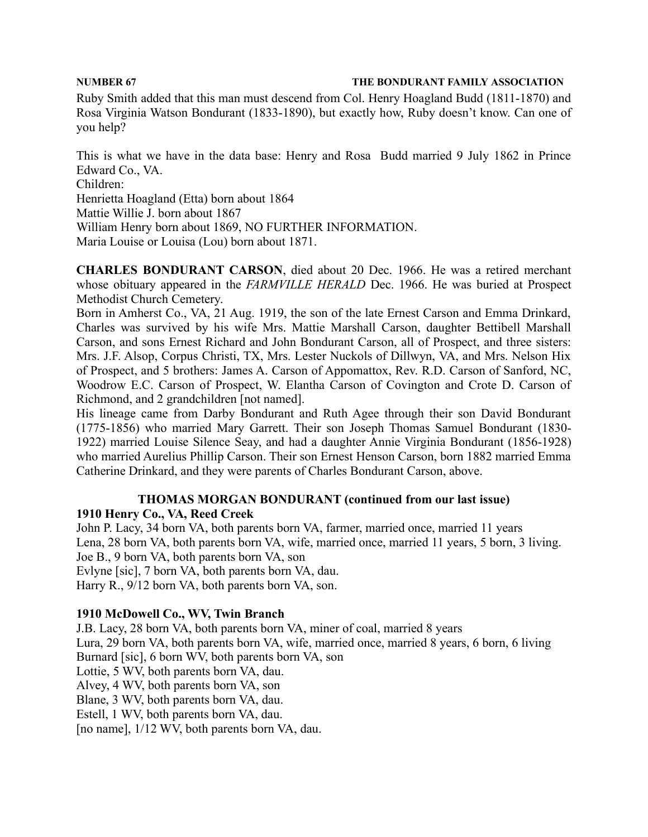Ruby Smith added that this man must descend from Col. Henry Hoagland Budd (1811-1870) and Rosa Virginia Watson Bondurant (1833-1890), but exactly how, Ruby doesn't know. Can one of you help?

This is what we have in the data base: Henry and Rosa Budd married 9 July 1862 in Prince Edward Co., VA. Children: Henrietta Hoagland (Etta) born about 1864 Mattie Willie J. born about 1867 William Henry born about 1869, NO FURTHER INFORMATION. Maria Louise or Louisa (Lou) born about 1871.

**CHARLES BONDURANT CARSON**, died about 20 Dec. 1966. He was a retired merchant whose obituary appeared in the *FARMVILLE HERALD* Dec. 1966. He was buried at Prospect Methodist Church Cemetery.

Born in Amherst Co., VA, 21 Aug. 1919, the son of the late Ernest Carson and Emma Drinkard, Charles was survived by his wife Mrs. Mattie Marshall Carson, daughter Bettibell Marshall Carson, and sons Ernest Richard and John Bondurant Carson, all of Prospect, and three sisters: Mrs. J.F. Alsop, Corpus Christi, TX, Mrs. Lester Nuckols of Dillwyn, VA, and Mrs. Nelson Hix of Prospect, and 5 brothers: James A. Carson of Appomattox, Rev. R.D. Carson of Sanford, NC, Woodrow E.C. Carson of Prospect, W. Elantha Carson of Covington and Crote D. Carson of Richmond, and 2 grandchildren [not named].

His lineage came from Darby Bondurant and Ruth Agee through their son David Bondurant (1775-1856) who married Mary Garrett. Their son Joseph Thomas Samuel Bondurant (1830- 1922) married Louise Silence Seay, and had a daughter Annie Virginia Bondurant (1856-1928) who married Aurelius Phillip Carson. Their son Ernest Henson Carson, born 1882 married Emma Catherine Drinkard, and they were parents of Charles Bondurant Carson, above.

# **THOMAS MORGAN BONDURANT (continued from our last issue) 1910 Henry Co., VA, Reed Creek**

John P. Lacy, 34 born VA, both parents born VA, farmer, married once, married 11 years Lena, 28 born VA, both parents born VA, wife, married once, married 11 years, 5 born, 3 living. Joe B., 9 born VA, both parents born VA, son Evlyne [sic], 7 born VA, both parents born VA, dau. Harry R., 9/12 born VA, both parents born VA, son.

# **1910 McDowell Co., WV, Twin Branch**

J.B. Lacy, 28 born VA, both parents born VA, miner of coal, married 8 years Lura, 29 born VA, both parents born VA, wife, married once, married 8 years, 6 born, 6 living Burnard [sic], 6 born WV, both parents born VA, son Lottie, 5 WV, both parents born VA, dau. Alvey, 4 WV, both parents born VA, son Blane, 3 WV, both parents born VA, dau. Estell, 1 WV, both parents born VA, dau. [no name], 1/12 WV, both parents born VA, dau.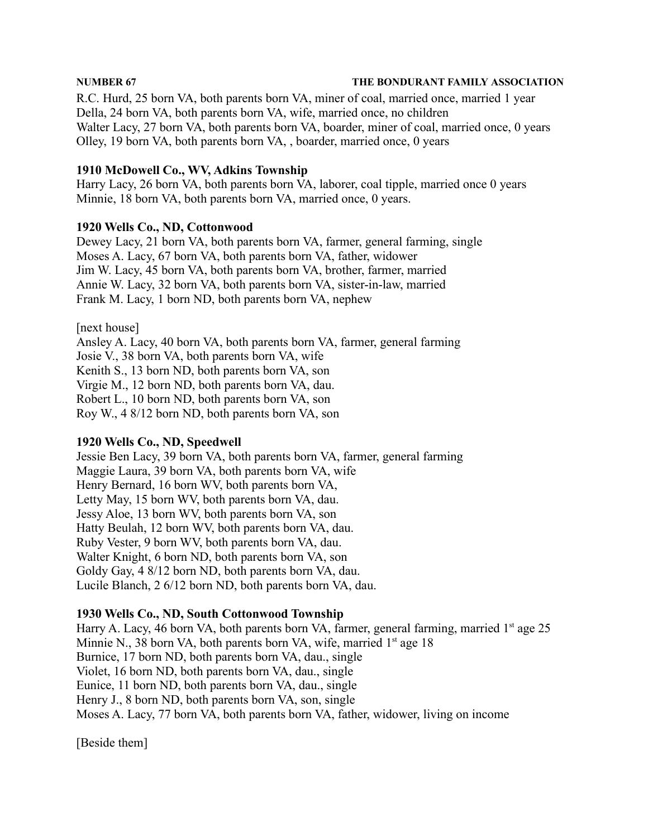R.C. Hurd, 25 born VA, both parents born VA, miner of coal, married once, married 1 year Della, 24 born VA, both parents born VA, wife, married once, no children Walter Lacy, 27 born VA, both parents born VA, boarder, miner of coal, married once, 0 years Olley, 19 born VA, both parents born VA, , boarder, married once, 0 years

### **1910 McDowell Co., WV, Adkins Township**

Harry Lacy, 26 born VA, both parents born VA, laborer, coal tipple, married once 0 years Minnie, 18 born VA, both parents born VA, married once, 0 years.

### **1920 Wells Co., ND, Cottonwood**

Dewey Lacy, 21 born VA, both parents born VA, farmer, general farming, single Moses A. Lacy, 67 born VA, both parents born VA, father, widower Jim W. Lacy, 45 born VA, both parents born VA, brother, farmer, married Annie W. Lacy, 32 born VA, both parents born VA, sister-in-law, married Frank M. Lacy, 1 born ND, both parents born VA, nephew

[next house]

Ansley A. Lacy, 40 born VA, both parents born VA, farmer, general farming Josie V., 38 born VA, both parents born VA, wife Kenith S., 13 born ND, both parents born VA, son Virgie M., 12 born ND, both parents born VA, dau. Robert L., 10 born ND, both parents born VA, son Roy W., 4 8/12 born ND, both parents born VA, son

### **1920 Wells Co., ND, Speedwell**

Jessie Ben Lacy, 39 born VA, both parents born VA, farmer, general farming Maggie Laura, 39 born VA, both parents born VA, wife Henry Bernard, 16 born WV, both parents born VA, Letty May, 15 born WV, both parents born VA, dau. Jessy Aloe, 13 born WV, both parents born VA, son Hatty Beulah, 12 born WV, both parents born VA, dau. Ruby Vester, 9 born WV, both parents born VA, dau. Walter Knight, 6 born ND, both parents born VA, son Goldy Gay, 4 8/12 born ND, both parents born VA, dau. Lucile Blanch, 2 6/12 born ND, both parents born VA, dau.

### **1930 Wells Co., ND, South Cottonwood Township**

Harry A. Lacy, 46 born VA, both parents born VA, farmer, general farming, married 1<sup>st</sup> age 25 Minnie N., 38 born VA, both parents born VA, wife, married 1<sup>st</sup> age 18 Burnice, 17 born ND, both parents born VA, dau., single Violet, 16 born ND, both parents born VA, dau., single Eunice, 11 born ND, both parents born VA, dau., single Henry J., 8 born ND, both parents born VA, son, single Moses A. Lacy, 77 born VA, both parents born VA, father, widower, living on income

[Beside them]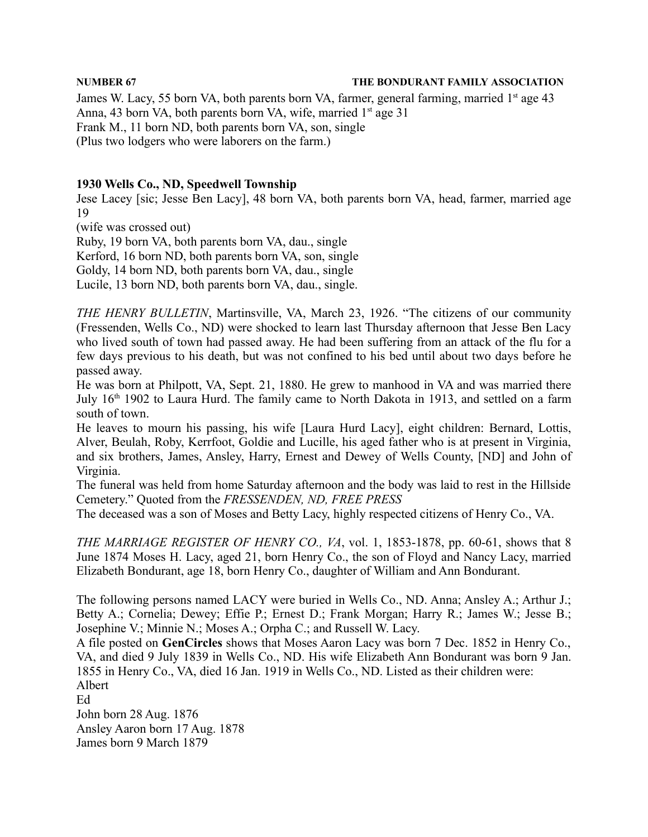James W. Lacy, 55 born VA, both parents born VA, farmer, general farming, married 1<sup>st</sup> age 43 Anna, 43 born VA, both parents born VA, wife, married 1<sup>st</sup> age 31 Frank M., 11 born ND, both parents born VA, son, single (Plus two lodgers who were laborers on the farm.)

### **1930 Wells Co., ND, Speedwell Township**

Jese Lacey [sic; Jesse Ben Lacy], 48 born VA, both parents born VA, head, farmer, married age 19

(wife was crossed out)

Ruby, 19 born VA, both parents born VA, dau., single Kerford, 16 born ND, both parents born VA, son, single Goldy, 14 born ND, both parents born VA, dau., single

Lucile, 13 born ND, both parents born VA, dau., single.

*THE HENRY BULLETIN*, Martinsville, VA, March 23, 1926. "The citizens of our community (Fressenden, Wells Co., ND) were shocked to learn last Thursday afternoon that Jesse Ben Lacy who lived south of town had passed away. He had been suffering from an attack of the flu for a few days previous to his death, but was not confined to his bed until about two days before he passed away.

He was born at Philpott, VA, Sept. 21, 1880. He grew to manhood in VA and was married there July 16<sup>th</sup> 1902 to Laura Hurd. The family came to North Dakota in 1913, and settled on a farm south of town.

He leaves to mourn his passing, his wife [Laura Hurd Lacy], eight children: Bernard, Lottis, Alver, Beulah, Roby, Kerrfoot, Goldie and Lucille, his aged father who is at present in Virginia, and six brothers, James, Ansley, Harry, Ernest and Dewey of Wells County, [ND] and John of Virginia.

The funeral was held from home Saturday afternoon and the body was laid to rest in the Hillside Cemetery." Quoted from the *FRESSENDEN, ND, FREE PRESS*

The deceased was a son of Moses and Betty Lacy, highly respected citizens of Henry Co., VA.

*THE MARRIAGE REGISTER OF HENRY CO., VA*, vol. 1, 1853-1878, pp. 60-61, shows that 8 June 1874 Moses H. Lacy, aged 21, born Henry Co., the son of Floyd and Nancy Lacy, married Elizabeth Bondurant, age 18, born Henry Co., daughter of William and Ann Bondurant.

The following persons named LACY were buried in Wells Co., ND. Anna; Ansley A.; Arthur J.; Betty A.; Cornelia; Dewey; Effie P.; Ernest D.; Frank Morgan; Harry R.; James W.; Jesse B.; Josephine V.; Minnie N.; Moses A.; Orpha C.; and Russell W. Lacy.

A file posted on **GenCircles** shows that Moses Aaron Lacy was born 7 Dec. 1852 in Henry Co., VA, and died 9 July 1839 in Wells Co., ND. His wife Elizabeth Ann Bondurant was born 9 Jan. 1855 in Henry Co., VA, died 16 Jan. 1919 in Wells Co., ND. Listed as their children were: Albert

Ed John born 28 Aug. 1876 Ansley Aaron born 17 Aug. 1878 James born 9 March 1879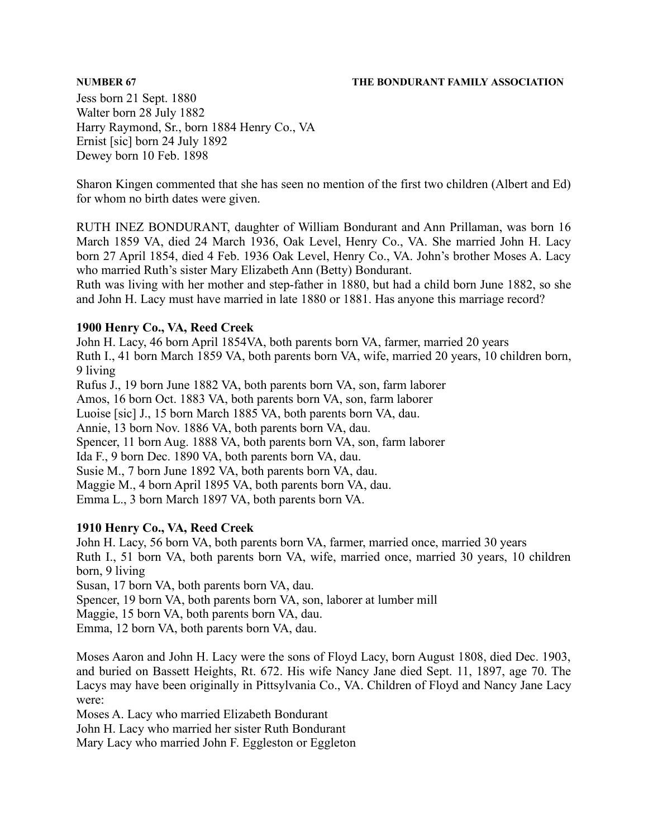Jess born 21 Sept. 1880 Walter born 28 July 1882 Harry Raymond, Sr., born 1884 Henry Co., VA Ernist [sic] born 24 July 1892 Dewey born 10 Feb. 1898

Sharon Kingen commented that she has seen no mention of the first two children (Albert and Ed) for whom no birth dates were given.

RUTH INEZ BONDURANT, daughter of William Bondurant and Ann Prillaman, was born 16 March 1859 VA, died 24 March 1936, Oak Level, Henry Co., VA. She married John H. Lacy born 27 April 1854, died 4 Feb. 1936 Oak Level, Henry Co., VA. John's brother Moses A. Lacy who married Ruth's sister Mary Elizabeth Ann (Betty) Bondurant.

Ruth was living with her mother and step-father in 1880, but had a child born June 1882, so she and John H. Lacy must have married in late 1880 or 1881. Has anyone this marriage record?

### **1900 Henry Co., VA, Reed Creek**

John H. Lacy, 46 born April 1854VA, both parents born VA, farmer, married 20 years Ruth I., 41 born March 1859 VA, both parents born VA, wife, married 20 years, 10 children born, 9 living Rufus J., 19 born June 1882 VA, both parents born VA, son, farm laborer Amos, 16 born Oct. 1883 VA, both parents born VA, son, farm laborer Luoise [sic] J., 15 born March 1885 VA, both parents born VA, dau. Annie, 13 born Nov. 1886 VA, both parents born VA, dau. Spencer, 11 born Aug. 1888 VA, both parents born VA, son, farm laborer Ida F., 9 born Dec. 1890 VA, both parents born VA, dau. Susie M., 7 born June 1892 VA, both parents born VA, dau. Maggie M., 4 born April 1895 VA, both parents born VA, dau. Emma L., 3 born March 1897 VA, both parents born VA.

# **1910 Henry Co., VA, Reed Creek**

John H. Lacy, 56 born VA, both parents born VA, farmer, married once, married 30 years

Ruth I., 51 born VA, both parents born VA, wife, married once, married 30 years, 10 children born, 9 living

Susan, 17 born VA, both parents born VA, dau.

Spencer, 19 born VA, both parents born VA, son, laborer at lumber mill

Maggie, 15 born VA, both parents born VA, dau.

Emma, 12 born VA, both parents born VA, dau.

Moses Aaron and John H. Lacy were the sons of Floyd Lacy, born August 1808, died Dec. 1903, and buried on Bassett Heights, Rt. 672. His wife Nancy Jane died Sept. 11, 1897, age 70. The Lacys may have been originally in Pittsylvania Co., VA. Children of Floyd and Nancy Jane Lacy were:

Moses A. Lacy who married Elizabeth Bondurant

John H. Lacy who married her sister Ruth Bondurant

Mary Lacy who married John F. Eggleston or Eggleton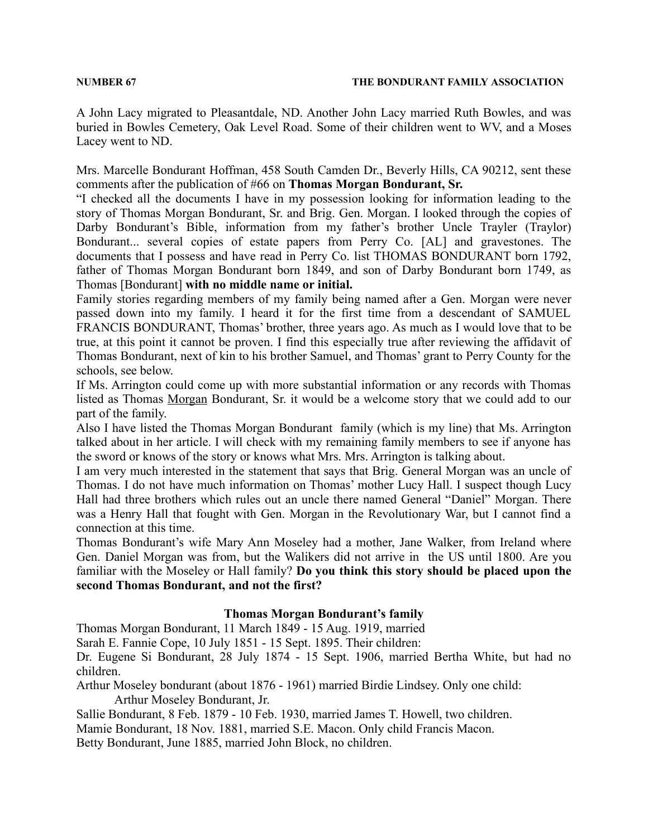A John Lacy migrated to Pleasantdale, ND. Another John Lacy married Ruth Bowles, and was buried in Bowles Cemetery, Oak Level Road. Some of their children went to WV, and a Moses Lacey went to ND.

Mrs. Marcelle Bondurant Hoffman, 458 South Camden Dr., Beverly Hills, CA 90212, sent these comments after the publication of #66 on **Thomas Morgan Bondurant, Sr.**

"I checked all the documents I have in my possession looking for information leading to the story of Thomas Morgan Bondurant, Sr. and Brig. Gen. Morgan. I looked through the copies of Darby Bondurant's Bible, information from my father's brother Uncle Trayler (Traylor) Bondurant... several copies of estate papers from Perry Co. [AL] and gravestones. The documents that I possess and have read in Perry Co. list THOMAS BONDURANT born 1792, father of Thomas Morgan Bondurant born 1849, and son of Darby Bondurant born 1749, as Thomas [Bondurant] **with no middle name or initial.**

Family stories regarding members of my family being named after a Gen. Morgan were never passed down into my family. I heard it for the first time from a descendant of SAMUEL FRANCIS BONDURANT, Thomas' brother, three years ago. As much as I would love that to be true, at this point it cannot be proven. I find this especially true after reviewing the affidavit of Thomas Bondurant, next of kin to his brother Samuel, and Thomas' grant to Perry County for the schools, see below.

If Ms. Arrington could come up with more substantial information or any records with Thomas listed as Thomas Morgan Bondurant, Sr. it would be a welcome story that we could add to our part of the family.

Also I have listed the Thomas Morgan Bondurant family (which is my line) that Ms. Arrington talked about in her article. I will check with my remaining family members to see if anyone has the sword or knows of the story or knows what Mrs. Mrs. Arrington is talking about.

I am very much interested in the statement that says that Brig. General Morgan was an uncle of Thomas. I do not have much information on Thomas' mother Lucy Hall. I suspect though Lucy Hall had three brothers which rules out an uncle there named General "Daniel" Morgan. There was a Henry Hall that fought with Gen. Morgan in the Revolutionary War, but I cannot find a connection at this time.

Thomas Bondurant's wife Mary Ann Moseley had a mother, Jane Walker, from Ireland where Gen. Daniel Morgan was from, but the Walikers did not arrive in the US until 1800. Are you familiar with the Moseley or Hall family? **Do you think this story should be placed upon the second Thomas Bondurant, and not the first?**

### **Thomas Morgan Bondurant's family**

Thomas Morgan Bondurant, 11 March 1849 - 15 Aug. 1919, married

Sarah E. Fannie Cope, 10 July 1851 - 15 Sept. 1895. Their children:

Dr. Eugene Si Bondurant, 28 July 1874 - 15 Sept. 1906, married Bertha White, but had no children.

Arthur Moseley bondurant (about 1876 - 1961) married Birdie Lindsey. Only one child: Arthur Moseley Bondurant, Jr.

Sallie Bondurant, 8 Feb. 1879 - 10 Feb. 1930, married James T. Howell, two children.

Mamie Bondurant, 18 Nov. 1881, married S.E. Macon. Only child Francis Macon.

Betty Bondurant, June 1885, married John Block, no children.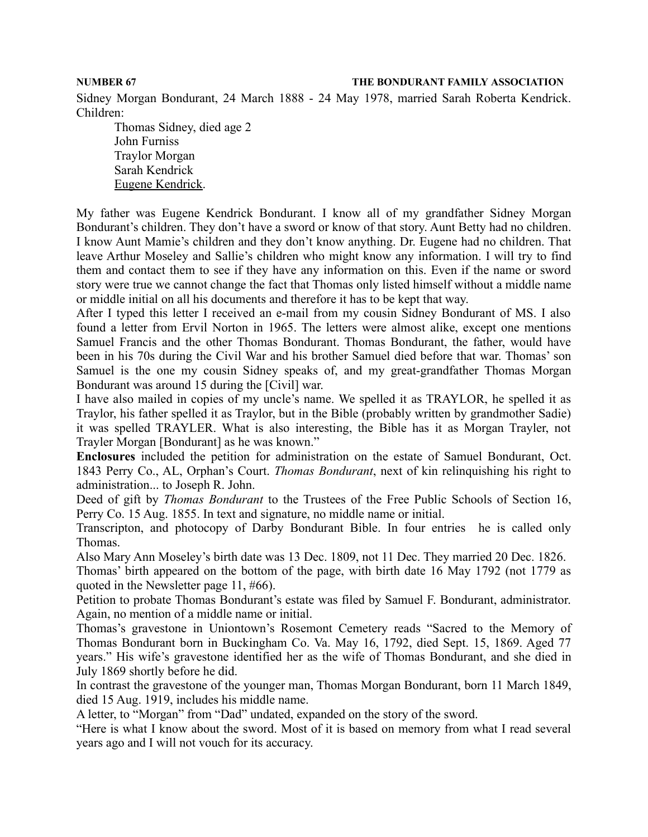Sidney Morgan Bondurant, 24 March 1888 - 24 May 1978, married Sarah Roberta Kendrick. Children:

Thomas Sidney, died age 2 John Furniss Traylor Morgan Sarah Kendrick Eugene Kendrick.

My father was Eugene Kendrick Bondurant. I know all of my grandfather Sidney Morgan Bondurant's children. They don't have a sword or know of that story. Aunt Betty had no children. I know Aunt Mamie's children and they don't know anything. Dr. Eugene had no children. That leave Arthur Moseley and Sallie's children who might know any information. I will try to find them and contact them to see if they have any information on this. Even if the name or sword story were true we cannot change the fact that Thomas only listed himself without a middle name or middle initial on all his documents and therefore it has to be kept that way.

After I typed this letter I received an e-mail from my cousin Sidney Bondurant of MS. I also found a letter from Ervil Norton in 1965. The letters were almost alike, except one mentions Samuel Francis and the other Thomas Bondurant. Thomas Bondurant, the father, would have been in his 70s during the Civil War and his brother Samuel died before that war. Thomas' son Samuel is the one my cousin Sidney speaks of, and my great-grandfather Thomas Morgan Bondurant was around 15 during the [Civil] war.

I have also mailed in copies of my uncle's name. We spelled it as TRAYLOR, he spelled it as Traylor, his father spelled it as Traylor, but in the Bible (probably written by grandmother Sadie) it was spelled TRAYLER. What is also interesting, the Bible has it as Morgan Trayler, not Trayler Morgan [Bondurant] as he was known."

**Enclosures** included the petition for administration on the estate of Samuel Bondurant, Oct. 1843 Perry Co., AL, Orphan's Court. *Thomas Bondurant*, next of kin relinquishing his right to administration... to Joseph R. John.

Deed of gift by *Thomas Bondurant* to the Trustees of the Free Public Schools of Section 16, Perry Co. 15 Aug. 1855. In text and signature, no middle name or initial.

Transcripton, and photocopy of Darby Bondurant Bible. In four entries he is called only Thomas.

Also Mary Ann Moseley's birth date was 13 Dec. 1809, not 11 Dec. They married 20 Dec. 1826. Thomas' birth appeared on the bottom of the page, with birth date 16 May 1792 (not 1779 as quoted in the Newsletter page 11, #66).

Petition to probate Thomas Bondurant's estate was filed by Samuel F. Bondurant, administrator. Again, no mention of a middle name or initial.

Thomas's gravestone in Uniontown's Rosemont Cemetery reads "Sacred to the Memory of Thomas Bondurant born in Buckingham Co. Va. May 16, 1792, died Sept. 15, 1869. Aged 77 years." His wife's gravestone identified her as the wife of Thomas Bondurant, and she died in July 1869 shortly before he did.

In contrast the gravestone of the younger man, Thomas Morgan Bondurant, born 11 March 1849, died 15 Aug. 1919, includes his middle name.

A letter, to "Morgan" from "Dad" undated, expanded on the story of the sword.

"Here is what I know about the sword. Most of it is based on memory from what I read several years ago and I will not vouch for its accuracy.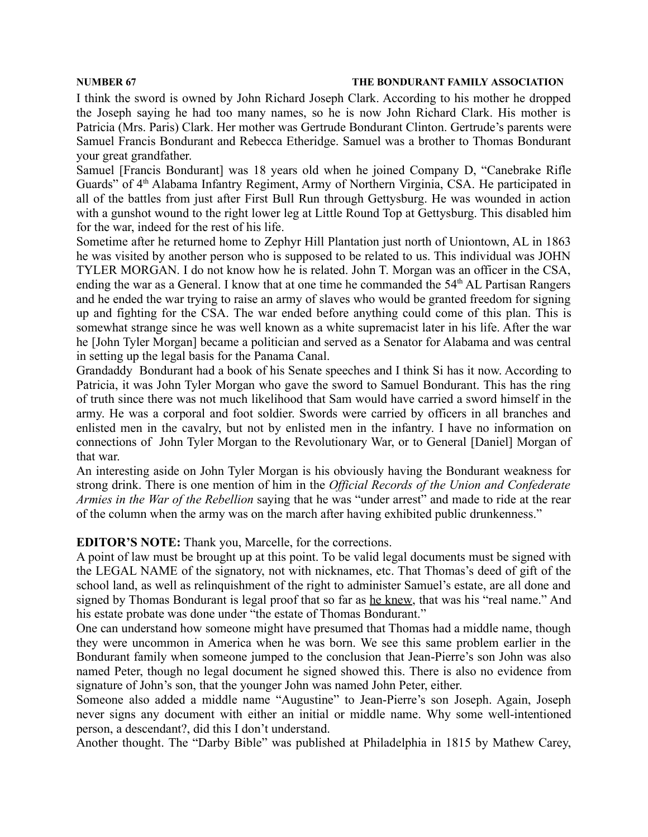I think the sword is owned by John Richard Joseph Clark. According to his mother he dropped the Joseph saying he had too many names, so he is now John Richard Clark. His mother is Patricia (Mrs. Paris) Clark. Her mother was Gertrude Bondurant Clinton. Gertrude's parents were Samuel Francis Bondurant and Rebecca Etheridge. Samuel was a brother to Thomas Bondurant your great grandfather.

Samuel [Francis Bondurant] was 18 years old when he joined Company D, "Canebrake Rifle Guards" of 4<sup>th</sup> Alabama Infantry Regiment, Army of Northern Virginia, CSA. He participated in all of the battles from just after First Bull Run through Gettysburg. He was wounded in action with a gunshot wound to the right lower leg at Little Round Top at Gettysburg. This disabled him for the war, indeed for the rest of his life.

Sometime after he returned home to Zephyr Hill Plantation just north of Uniontown, AL in 1863 he was visited by another person who is supposed to be related to us. This individual was JOHN TYLER MORGAN. I do not know how he is related. John T. Morgan was an officer in the CSA, ending the war as a General. I know that at one time he commanded the 54<sup>th</sup> AL Partisan Rangers and he ended the war trying to raise an army of slaves who would be granted freedom for signing up and fighting for the CSA. The war ended before anything could come of this plan. This is somewhat strange since he was well known as a white supremacist later in his life. After the war he [John Tyler Morgan] became a politician and served as a Senator for Alabama and was central in setting up the legal basis for the Panama Canal.

Grandaddy Bondurant had a book of his Senate speeches and I think Si has it now. According to Patricia, it was John Tyler Morgan who gave the sword to Samuel Bondurant. This has the ring of truth since there was not much likelihood that Sam would have carried a sword himself in the army. He was a corporal and foot soldier. Swords were carried by officers in all branches and enlisted men in the cavalry, but not by enlisted men in the infantry. I have no information on connections of John Tyler Morgan to the Revolutionary War, or to General [Daniel] Morgan of that war.

An interesting aside on John Tyler Morgan is his obviously having the Bondurant weakness for strong drink. There is one mention of him in the *Official Records of the Union and Confederate Armies in the War of the Rebellion* saying that he was "under arrest" and made to ride at the rear of the column when the army was on the march after having exhibited public drunkenness."

### **EDITOR'S NOTE:** Thank you, Marcelle, for the corrections.

A point of law must be brought up at this point. To be valid legal documents must be signed with the LEGAL NAME of the signatory, not with nicknames, etc. That Thomas's deed of gift of the school land, as well as relinquishment of the right to administer Samuel's estate, are all done and signed by Thomas Bondurant is legal proof that so far as he knew, that was his "real name." And his estate probate was done under "the estate of Thomas Bondurant."

One can understand how someone might have presumed that Thomas had a middle name, though they were uncommon in America when he was born. We see this same problem earlier in the Bondurant family when someone jumped to the conclusion that Jean-Pierre's son John was also named Peter, though no legal document he signed showed this. There is also no evidence from signature of John's son, that the younger John was named John Peter, either.

Someone also added a middle name "Augustine" to Jean-Pierre's son Joseph. Again, Joseph never signs any document with either an initial or middle name. Why some well-intentioned person, a descendant?, did this I don't understand.

Another thought. The "Darby Bible" was published at Philadelphia in 1815 by Mathew Carey,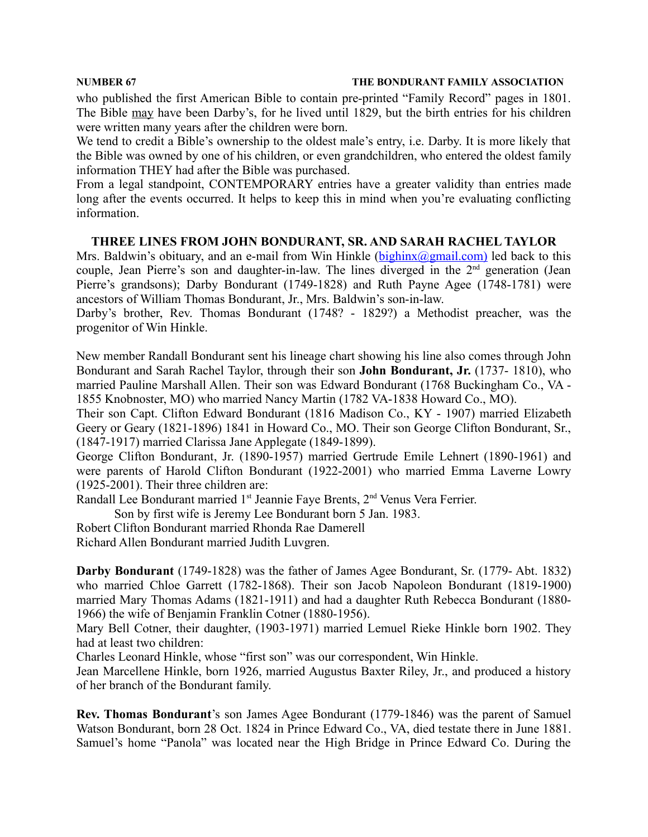who published the first American Bible to contain pre-printed "Family Record" pages in 1801. The Bible may have been Darby's, for he lived until 1829, but the birth entries for his children were written many years after the children were born.

We tend to credit a Bible's ownership to the oldest male's entry, i.e. Darby. It is more likely that the Bible was owned by one of his children, or even grandchildren, who entered the oldest family information THEY had after the Bible was purchased.

From a legal standpoint, CONTEMPORARY entries have a greater validity than entries made long after the events occurred. It helps to keep this in mind when you're evaluating conflicting information.

### **THREE LINES FROM JOHN BONDURANT, SR. AND SARAH RACHEL TAYLOR**

Mrs. Baldwin's obituary, and an e-mail from Win Hinkle ( $\frac{\text{bighinx}(a\text{partial.com})}{\text{partial.com}}$  led back to this couple, Jean Pierre's son and daughter-in-law. The lines diverged in the 2<sup>nd</sup> generation (Jean Pierre's grandsons); Darby Bondurant (1749-1828) and Ruth Payne Agee (1748-1781) were ancestors of William Thomas Bondurant, Jr., Mrs. Baldwin's son-in-law.

Darby's brother, Rev. Thomas Bondurant (1748? - 1829?) a Methodist preacher, was the progenitor of Win Hinkle.

New member Randall Bondurant sent his lineage chart showing his line also comes through John Bondurant and Sarah Rachel Taylor, through their son **John Bondurant, Jr.** (1737- 1810), who married Pauline Marshall Allen. Their son was Edward Bondurant (1768 Buckingham Co., VA - 1855 Knobnoster, MO) who married Nancy Martin (1782 VA-1838 Howard Co., MO).

Their son Capt. Clifton Edward Bondurant (1816 Madison Co., KY - 1907) married Elizabeth Geery or Geary (1821-1896) 1841 in Howard Co., MO. Their son George Clifton Bondurant, Sr., (1847-1917) married Clarissa Jane Applegate (1849-1899).

George Clifton Bondurant, Jr. (1890-1957) married Gertrude Emile Lehnert (1890-1961) and were parents of Harold Clifton Bondurant (1922-2001) who married Emma Laverne Lowry (1925-2001). Their three children are:

Randall Lee Bondurant married 1<sup>st</sup> Jeannie Faye Brents, 2<sup>nd</sup> Venus Vera Ferrier.

Son by first wife is Jeremy Lee Bondurant born 5 Jan. 1983.

Robert Clifton Bondurant married Rhonda Rae Damerell

Richard Allen Bondurant married Judith Luvgren.

**Darby Bondurant** (1749-1828) was the father of James Agee Bondurant, Sr. (1779- Abt. 1832) who married Chloe Garrett (1782-1868). Their son Jacob Napoleon Bondurant (1819-1900) married Mary Thomas Adams (1821-1911) and had a daughter Ruth Rebecca Bondurant (1880- 1966) the wife of Benjamin Franklin Cotner (1880-1956).

Mary Bell Cotner, their daughter, (1903-1971) married Lemuel Rieke Hinkle born 1902. They had at least two children:

Charles Leonard Hinkle, whose "first son" was our correspondent, Win Hinkle.

Jean Marcellene Hinkle, born 1926, married Augustus Baxter Riley, Jr., and produced a history of her branch of the Bondurant family.

**Rev. Thomas Bondurant**'s son James Agee Bondurant (1779-1846) was the parent of Samuel Watson Bondurant, born 28 Oct. 1824 in Prince Edward Co., VA, died testate there in June 1881. Samuel's home "Panola" was located near the High Bridge in Prince Edward Co. During the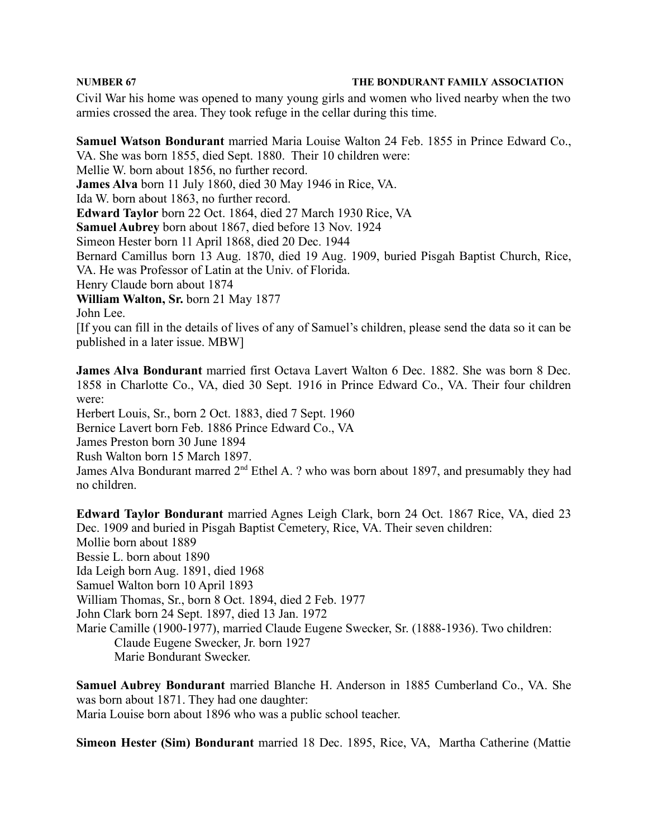Civil War his home was opened to many young girls and women who lived nearby when the two armies crossed the area. They took refuge in the cellar during this time.

**Samuel Watson Bondurant** married Maria Louise Walton 24 Feb. 1855 in Prince Edward Co., VA. She was born 1855, died Sept. 1880. Their 10 children were: Mellie W. born about 1856, no further record. **James Alva** born 11 July 1860, died 30 May 1946 in Rice, VA. Ida W. born about 1863, no further record. **Edward Taylor** born 22 Oct. 1864, died 27 March 1930 Rice, VA **Samuel Aubrey** born about 1867, died before 13 Nov. 1924 Simeon Hester born 11 April 1868, died 20 Dec. 1944 Bernard Camillus born 13 Aug. 1870, died 19 Aug. 1909, buried Pisgah Baptist Church, Rice, VA. He was Professor of Latin at the Univ. of Florida. Henry Claude born about 1874 **William Walton, Sr.** born 21 May 1877 John Lee.

[If you can fill in the details of lives of any of Samuel's children, please send the data so it can be published in a later issue. MBW]

**James Alva Bondurant** married first Octava Lavert Walton 6 Dec. 1882. She was born 8 Dec. 1858 in Charlotte Co., VA, died 30 Sept. 1916 in Prince Edward Co., VA. Their four children were:

Herbert Louis, Sr., born 2 Oct. 1883, died 7 Sept. 1960

Bernice Lavert born Feb. 1886 Prince Edward Co., VA

James Preston born 30 June 1894

Rush Walton born 15 March 1897.

James Alva Bondurant marred 2<sup>nd</sup> Ethel A. ? who was born about 1897, and presumably they had no children.

**Edward Taylor Bondurant** married Agnes Leigh Clark, born 24 Oct. 1867 Rice, VA, died 23 Dec. 1909 and buried in Pisgah Baptist Cemetery, Rice, VA. Their seven children: Mollie born about 1889 Bessie L. born about 1890 Ida Leigh born Aug. 1891, died 1968 Samuel Walton born 10 April 1893 William Thomas, Sr., born 8 Oct. 1894, died 2 Feb. 1977 John Clark born 24 Sept. 1897, died 13 Jan. 1972 Marie Camille (1900-1977), married Claude Eugene Swecker, Sr. (1888-1936). Two children: Claude Eugene Swecker, Jr. born 1927 Marie Bondurant Swecker.

**Samuel Aubrey Bondurant** married Blanche H. Anderson in 1885 Cumberland Co., VA. She was born about 1871. They had one daughter: Maria Louise born about 1896 who was a public school teacher.

**Simeon Hester (Sim) Bondurant** married 18 Dec. 1895, Rice, VA, Martha Catherine (Mattie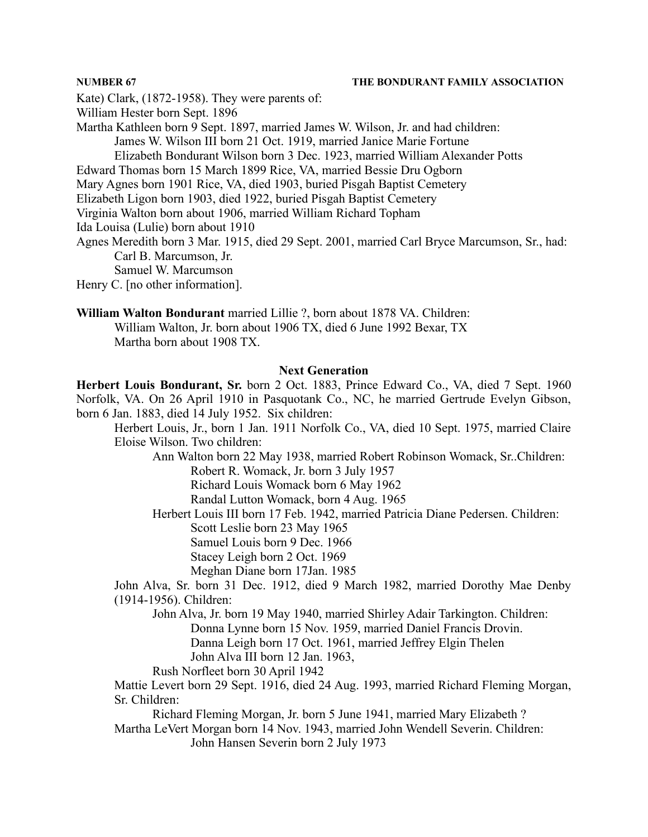Kate) Clark, (1872-1958). They were parents of:

William Hester born Sept. 1896

Martha Kathleen born 9 Sept. 1897, married James W. Wilson, Jr. and had children: James W. Wilson III born 21 Oct. 1919, married Janice Marie Fortune Elizabeth Bondurant Wilson born 3 Dec. 1923, married William Alexander Potts

Edward Thomas born 15 March 1899 Rice, VA, married Bessie Dru Ogborn

Mary Agnes born 1901 Rice, VA, died 1903, buried Pisgah Baptist Cemetery

Elizabeth Ligon born 1903, died 1922, buried Pisgah Baptist Cemetery

Virginia Walton born about 1906, married William Richard Topham

Ida Louisa (Lulie) born about 1910

Agnes Meredith born 3 Mar. 1915, died 29 Sept. 2001, married Carl Bryce Marcumson, Sr., had: Carl B. Marcumson, Jr.

Samuel W. Marcumson

Henry C. [no other information].

**William Walton Bondurant** married Lillie ?, born about 1878 VA. Children:

William Walton, Jr. born about 1906 TX, died 6 June 1992 Bexar, TX Martha born about 1908 TX.

### **Next Generation**

**Herbert Louis Bondurant, Sr.** born 2 Oct. 1883, Prince Edward Co., VA, died 7 Sept. 1960 Norfolk, VA. On 26 April 1910 in Pasquotank Co., NC, he married Gertrude Evelyn Gibson, born 6 Jan. 1883, died 14 July 1952. Six children:

Herbert Louis, Jr., born 1 Jan. 1911 Norfolk Co., VA, died 10 Sept. 1975, married Claire Eloise Wilson. Two children:

Ann Walton born 22 May 1938, married Robert Robinson Womack, Sr..Children: Robert R. Womack, Jr. born 3 July 1957

Richard Louis Womack born 6 May 1962

Randal Lutton Womack, born 4 Aug. 1965

Herbert Louis III born 17 Feb. 1942, married Patricia Diane Pedersen. Children: Scott Leslie born 23 May 1965

Samuel Louis born 9 Dec. 1966

Stacey Leigh born 2 Oct. 1969

Meghan Diane born 17Jan. 1985

John Alva, Sr. born 31 Dec. 1912, died 9 March 1982, married Dorothy Mae Denby (1914-1956). Children:

John Alva, Jr. born 19 May 1940, married Shirley Adair Tarkington. Children: Donna Lynne born 15 Nov. 1959, married Daniel Francis Drovin.

Danna Leigh born 17 Oct. 1961, married Jeffrey Elgin Thelen

John Alva III born 12 Jan. 1963,

Rush Norfleet born 30 April 1942

Mattie Levert born 29 Sept. 1916, died 24 Aug. 1993, married Richard Fleming Morgan, Sr. Children:

Richard Fleming Morgan, Jr. born 5 June 1941, married Mary Elizabeth ? Martha LeVert Morgan born 14 Nov. 1943, married John Wendell Severin. Children: John Hansen Severin born 2 July 1973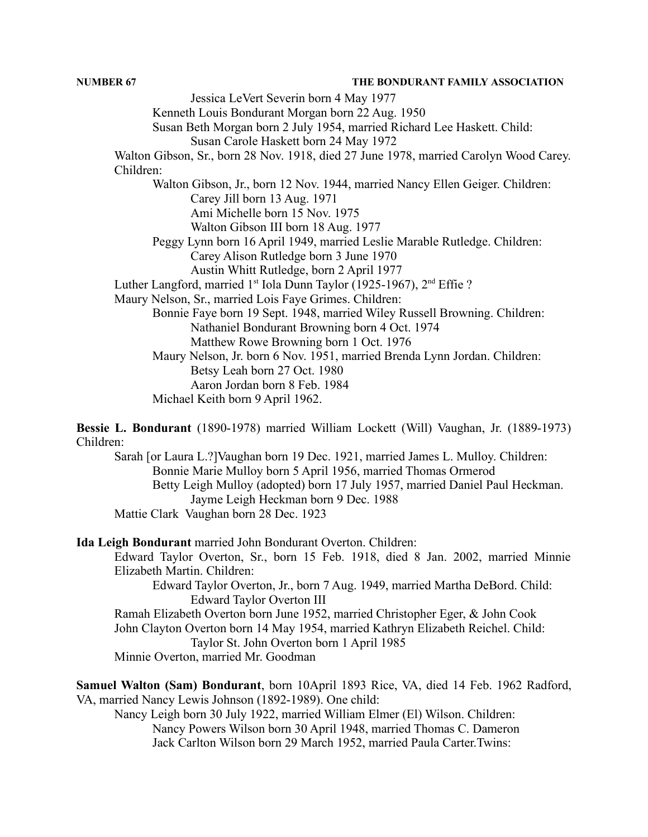Jessica LeVert Severin born 4 May 1977 Kenneth Louis Bondurant Morgan born 22 Aug. 1950 Susan Beth Morgan born 2 July 1954, married Richard Lee Haskett. Child: Susan Carole Haskett born 24 May 1972 Walton Gibson, Sr., born 28 Nov. 1918, died 27 June 1978, married Carolyn Wood Carey. Children: Walton Gibson, Jr., born 12 Nov. 1944, married Nancy Ellen Geiger. Children: Carey Jill born 13 Aug. 1971 Ami Michelle born 15 Nov. 1975 Walton Gibson III born 18 Aug. 1977 Peggy Lynn born 16 April 1949, married Leslie Marable Rutledge. Children: Carey Alison Rutledge born 3 June 1970 Austin Whitt Rutledge, born 2 April 1977 Luther Langford, married 1<sup>st</sup> Iola Dunn Taylor (1925-1967), 2<sup>nd</sup> Effie ? Maury Nelson, Sr., married Lois Faye Grimes. Children: Bonnie Faye born 19 Sept. 1948, married Wiley Russell Browning. Children: Nathaniel Bondurant Browning born 4 Oct. 1974 Matthew Rowe Browning born 1 Oct. 1976 Maury Nelson, Jr. born 6 Nov. 1951, married Brenda Lynn Jordan. Children: Betsy Leah born 27 Oct. 1980 Aaron Jordan born 8 Feb. 1984 Michael Keith born 9 April 1962.

**Bessie L. Bondurant** (1890-1978) married William Lockett (Will) Vaughan, Jr. (1889-1973) Children:

Sarah [or Laura L.?]Vaughan born 19 Dec. 1921, married James L. Mulloy. Children: Bonnie Marie Mulloy born 5 April 1956, married Thomas Ormerod Betty Leigh Mulloy (adopted) born 17 July 1957, married Daniel Paul Heckman. Jayme Leigh Heckman born 9 Dec. 1988 Mattie Clark Vaughan born 28 Dec. 1923

**Ida Leigh Bondurant** married John Bondurant Overton. Children:

Edward Taylor Overton, Sr., born 15 Feb. 1918, died 8 Jan. 2002, married Minnie Elizabeth Martin. Children:

Edward Taylor Overton, Jr., born 7 Aug. 1949, married Martha DeBord. Child: Edward Taylor Overton III

Ramah Elizabeth Overton born June 1952, married Christopher Eger, & John Cook John Clayton Overton born 14 May 1954, married Kathryn Elizabeth Reichel. Child: Taylor St. John Overton born 1 April 1985

Minnie Overton, married Mr. Goodman

**Samuel Walton (Sam) Bondurant**, born 10April 1893 Rice, VA, died 14 Feb. 1962 Radford, VA, married Nancy Lewis Johnson (1892-1989). One child:

Nancy Leigh born 30 July 1922, married William Elmer (El) Wilson. Children: Nancy Powers Wilson born 30 April 1948, married Thomas C. Dameron Jack Carlton Wilson born 29 March 1952, married Paula Carter.Twins: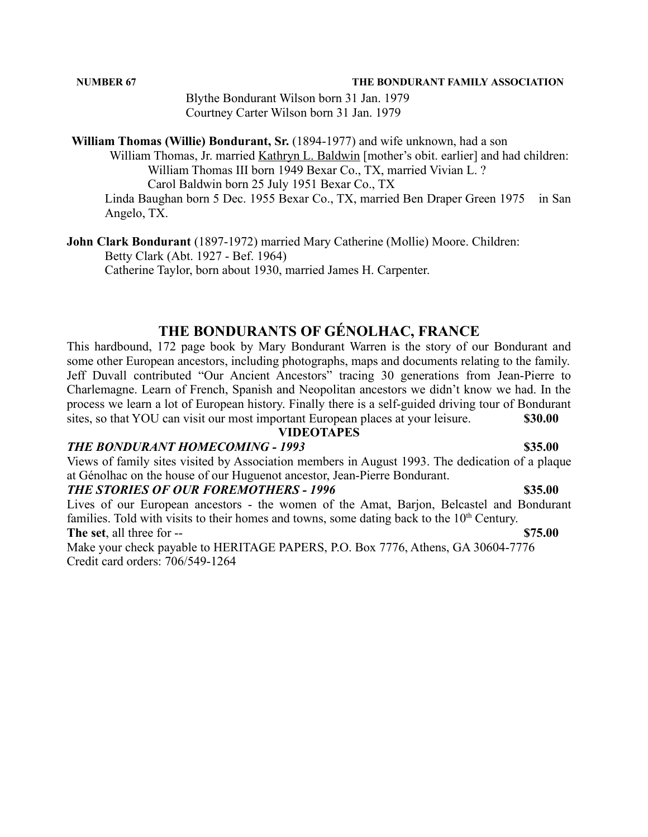Blythe Bondurant Wilson born 31 Jan. 1979 Courtney Carter Wilson born 31 Jan. 1979

**William Thomas (Willie) Bondurant, Sr.** (1894-1977) and wife unknown, had a son

William Thomas, Jr. married Kathryn L. Baldwin [mother's obit. earlier] and had children: William Thomas III born 1949 Bexar Co., TX, married Vivian L. ? Carol Baldwin born 25 July 1951 Bexar Co., TX

Linda Baughan born 5 Dec. 1955 Bexar Co., TX, married Ben Draper Green 1975 in San Angelo, TX.

**John Clark Bondurant** (1897-1972) married Mary Catherine (Mollie) Moore. Children: Betty Clark (Abt. 1927 - Bef. 1964) Catherine Taylor, born about 1930, married James H. Carpenter.

# **THE BONDURANTS OF GÉNOLHAC, FRANCE**

This hardbound, 172 page book by Mary Bondurant Warren is the story of our Bondurant and some other European ancestors, including photographs, maps and documents relating to the family. Jeff Duvall contributed "Our Ancient Ancestors" tracing 30 generations from Jean-Pierre to Charlemagne. Learn of French, Spanish and Neopolitan ancestors we didn't know we had. In the process we learn a lot of European history. Finally there is a self-guided driving tour of Bondurant sites, so that YOU can visit our most important European places at your leisure. **\$30.00**

#### **VIDEOTAPES**

#### *THE BONDURANT HOMECOMING - 1993* **\$35.00**

Views of family sites visited by Association members in August 1993. The dedication of a plaque at Génolhac on the house of our Huguenot ancestor, Jean-Pierre Bondurant.

### *THE STORIES OF OUR FOREMOTHERS - 1996* **\$35.00**

Lives of our European ancestors - the women of the Amat, Barjon, Belcastel and Bondurant families. Told with visits to their homes and towns, some dating back to the 10<sup>th</sup> Century.

**The set**, all three for -- **\$75.00**

Make your check payable to HERITAGE PAPERS, P.O. Box 7776, Athens, GA 30604-7776 Credit card orders: 706/549-1264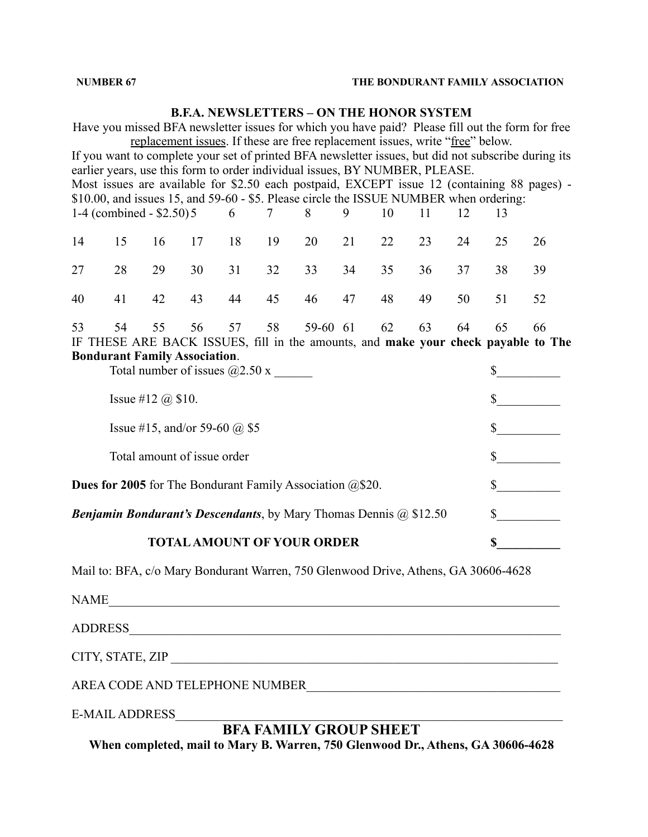### **B.F.A. NEWSLETTERS – ON THE HONOR SYSTEM**

Have you missed BFA newsletter issues for which you have paid? Please fill out the form for free replacement issues. If these are free replacement issues, write "free" below. If you want to complete your set of printed BFA newsletter issues, but did not subscribe during its earlier years, use this form to order individual issues, BY NUMBER, PLEASE. Most issues are available for \$2.50 each postpaid, EXCEPT issue 12 (containing 88 pages) - \$10.00, and issues 15, and 59-60 - \$5. Please circle the ISSUE NUMBER when ordering: 1-4 (combined - \$2.50)5 6 7 8 9 10 11 12 13 14 15 16 17 18 19 20 21 22 23 24 25 26 27 28 29 30 31 32 33 34 35 36 37 38 39 40 41 42 43 44 45 46 47 48 49 50 51 52 53 54 55 56 57 58 59-60 61 62 63 64 65 66 IF THESE ARE BACK ISSUES, fill in the amounts, and **make your check payable to The Bondurant Family Association**. Total number of issues  $@2.50 \text{ x }$  \$ Issue #12  $@$  \$10.  $$\s$ Issue #15, and/or 59-60  $@$  \$5 \$ Total amount of issue order  $\qquad \qquad$  \$ **Dues for 2005** for The Bondurant Family Association @\$20. \$\_\_\_\_\_\_\_\_\_\_\_\_\_\_\_\_\_\_\_\_\_ *Benjamin Bondurant's Descendants*, by Mary Thomas Dennis @ \$12.50 \$\_\_\_\_\_\_\_\_\_\_ **TOTALAMOUNT OF YOUR ORDER \$\_\_\_\_\_\_\_\_\_\_**

Mail to: BFA, c/o Mary Bondurant Warren, 750 Glenwood Drive, Athens, GA 30606-4628

NAME\_\_\_\_\_\_\_\_\_\_\_\_\_\_\_\_\_\_\_\_\_\_\_\_\_\_\_\_\_\_\_\_\_\_\_\_\_\_\_\_\_\_\_\_\_\_\_\_\_\_\_\_\_\_\_\_\_\_\_\_\_\_\_\_\_\_\_\_\_\_\_

ADDRESS

CITY, STATE, ZIP \_\_\_\_\_\_\_\_\_\_\_\_\_\_\_\_\_\_\_\_\_\_\_\_\_\_\_\_\_\_\_\_\_\_\_\_\_\_\_\_\_\_\_\_\_\_\_\_\_\_\_\_\_\_\_\_\_\_\_\_\_

AREA CODE AND TELEPHONE NUMBER

E-MAIL ADDRESS

**BFA FAMILY GROUP SHEET**

**When completed, mail to Mary B. Warren, 750 Glenwood Dr., Athens, GA 30606-4628**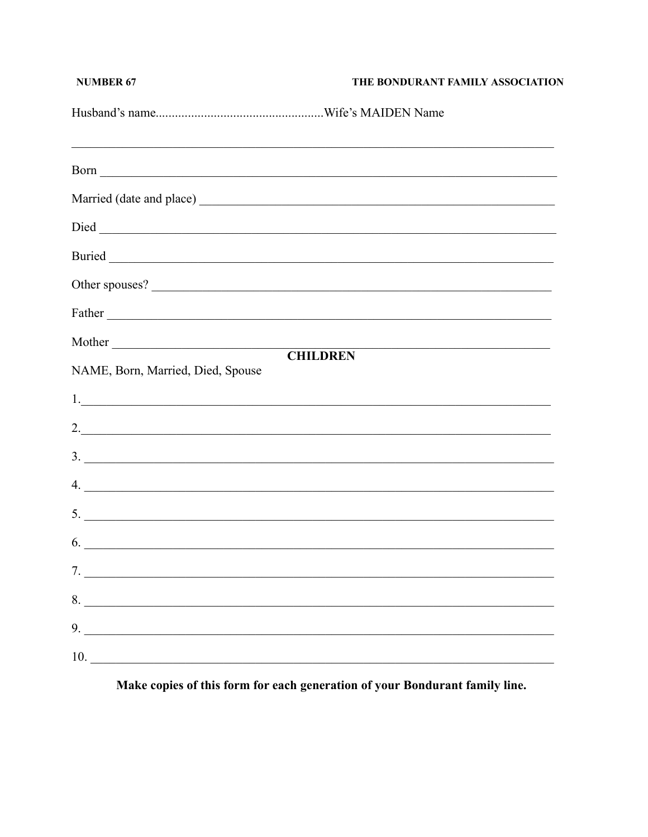| <b>NUMBER 67</b>                  | THE BONDURANT FAMILY ASSOCIATION |
|-----------------------------------|----------------------------------|
|                                   |                                  |
|                                   |                                  |
|                                   |                                  |
|                                   |                                  |
|                                   |                                  |
|                                   |                                  |
|                                   |                                  |
| Mother                            |                                  |
| NAME, Born, Married, Died, Spouse | <b>CHILDREN</b>                  |
|                                   |                                  |
|                                   | 2.                               |
|                                   | $\frac{3}{2}$                    |
|                                   | 4.                               |
| 5.                                |                                  |
| 6.                                |                                  |
| 7.                                |                                  |
| 8.                                |                                  |
| 9.                                |                                  |
| 10.                               |                                  |

Make copies of this form for each generation of your Bondurant family line.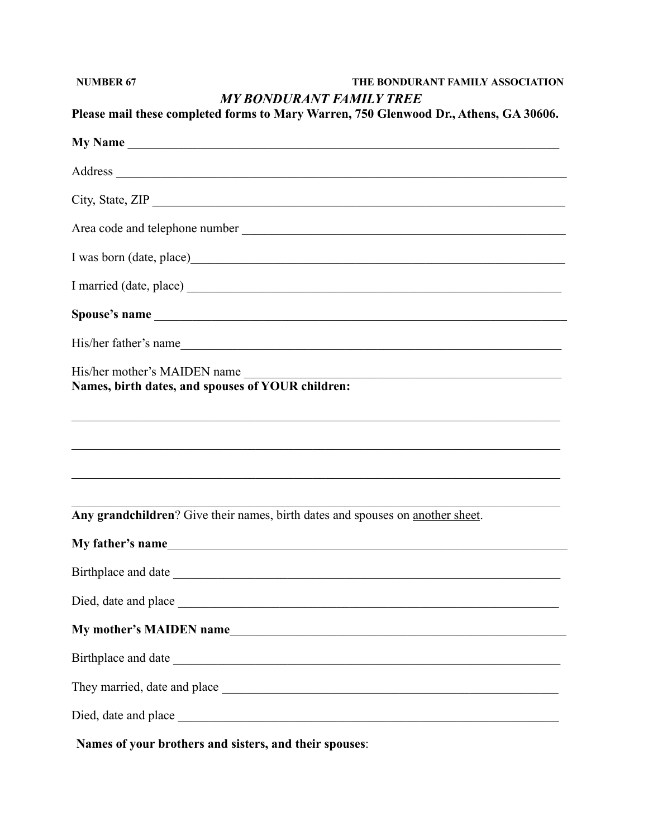| <b>NUMBER 67</b>                                                                  | THE BONDURANT FAMILY ASSOCIATION<br><b>MY BONDURANT FAMILY TREE</b>                                                                        |
|-----------------------------------------------------------------------------------|--------------------------------------------------------------------------------------------------------------------------------------------|
|                                                                                   | Please mail these completed forms to Mary Warren, 750 Glenwood Dr., Athens, GA 30606.                                                      |
|                                                                                   |                                                                                                                                            |
|                                                                                   |                                                                                                                                            |
|                                                                                   | City, State, ZIP                                                                                                                           |
|                                                                                   |                                                                                                                                            |
|                                                                                   |                                                                                                                                            |
|                                                                                   |                                                                                                                                            |
|                                                                                   |                                                                                                                                            |
|                                                                                   | His/her father's name                                                                                                                      |
| His/her mother's MAIDEN name<br>Names, birth dates, and spouses of YOUR children: | <u> 1989 - Paris Amerikaanse kommunister († 1905)</u><br>,我们也不能在这里的人,我们也不能在这里的人,我们也不能在这里的人,我们也不能在这里的人,我们也不能在这里的人,我们也不能在这里的人,我们也不能在这里的人,我们也 |
|                                                                                   | Any grandchildren? Give their names, birth dates and spouses on another sheet.                                                             |
| My father's name                                                                  |                                                                                                                                            |
|                                                                                   |                                                                                                                                            |
|                                                                                   |                                                                                                                                            |
|                                                                                   |                                                                                                                                            |
|                                                                                   | Birthplace and date                                                                                                                        |
|                                                                                   |                                                                                                                                            |
|                                                                                   |                                                                                                                                            |

Names of your brothers and sisters, and their spouses: